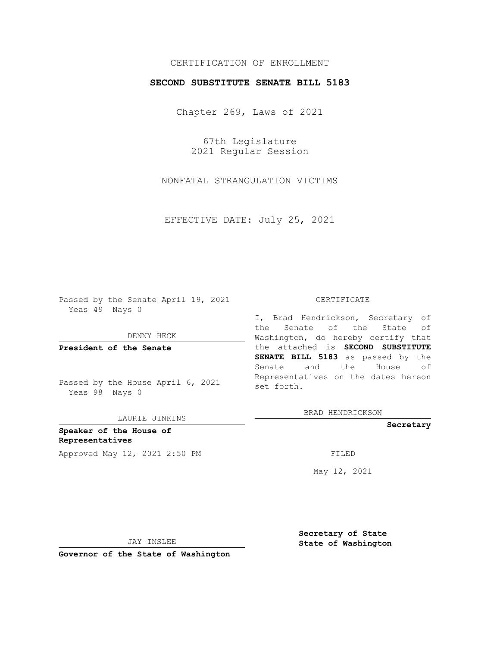## CERTIFICATION OF ENROLLMENT

## **SECOND SUBSTITUTE SENATE BILL 5183**

Chapter 269, Laws of 2021

67th Legislature 2021 Regular Session

NONFATAL STRANGULATION VICTIMS

EFFECTIVE DATE: July 25, 2021

Passed by the Senate April 19, 2021 Yeas 49 Nays 0

DENNY HECK

**President of the Senate**

Passed by the House April 6, 2021 Yeas 98 Nays 0

LAURIE JINKINS

**Speaker of the House of Representatives** Approved May 12, 2021 2:50 PM FILED

#### CERTIFICATE

I, Brad Hendrickson, Secretary of the Senate of the State of Washington, do hereby certify that the attached is **SECOND SUBSTITUTE SENATE BILL 5183** as passed by the Senate and the House of Representatives on the dates hereon set forth.

BRAD HENDRICKSON

**Secretary**

May 12, 2021

JAY INSLEE

**Secretary of State State of Washington**

**Governor of the State of Washington**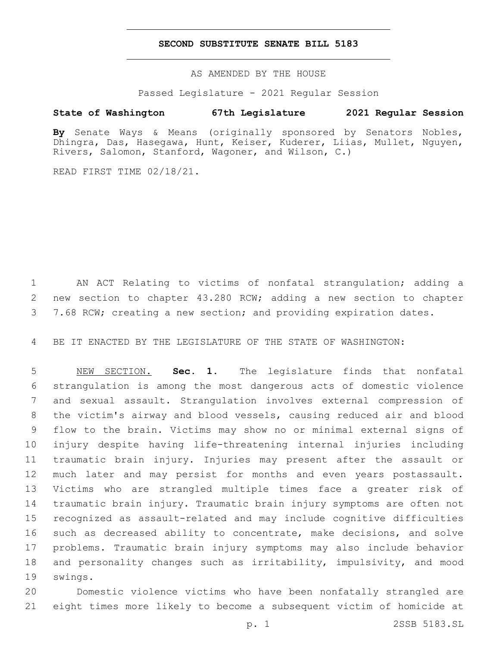## **SECOND SUBSTITUTE SENATE BILL 5183**

AS AMENDED BY THE HOUSE

Passed Legislature - 2021 Regular Session

# **State of Washington 67th Legislature 2021 Regular Session**

**By** Senate Ways & Means (originally sponsored by Senators Nobles, Dhingra, Das, Hasegawa, Hunt, Keiser, Kuderer, Liias, Mullet, Nguyen, Rivers, Salomon, Stanford, Wagoner, and Wilson, C.)

READ FIRST TIME 02/18/21.

 AN ACT Relating to victims of nonfatal strangulation; adding a new section to chapter 43.280 RCW; adding a new section to chapter 7.68 RCW; creating a new section; and providing expiration dates.

BE IT ENACTED BY THE LEGISLATURE OF THE STATE OF WASHINGTON:

 NEW SECTION. **Sec. 1.** The legislature finds that nonfatal strangulation is among the most dangerous acts of domestic violence and sexual assault. Strangulation involves external compression of the victim's airway and blood vessels, causing reduced air and blood flow to the brain. Victims may show no or minimal external signs of injury despite having life-threatening internal injuries including traumatic brain injury. Injuries may present after the assault or much later and may persist for months and even years postassault. Victims who are strangled multiple times face a greater risk of traumatic brain injury. Traumatic brain injury symptoms are often not recognized as assault-related and may include cognitive difficulties such as decreased ability to concentrate, make decisions, and solve problems. Traumatic brain injury symptoms may also include behavior and personality changes such as irritability, impulsivity, and mood swings.

 Domestic violence victims who have been nonfatally strangled are eight times more likely to become a subsequent victim of homicide at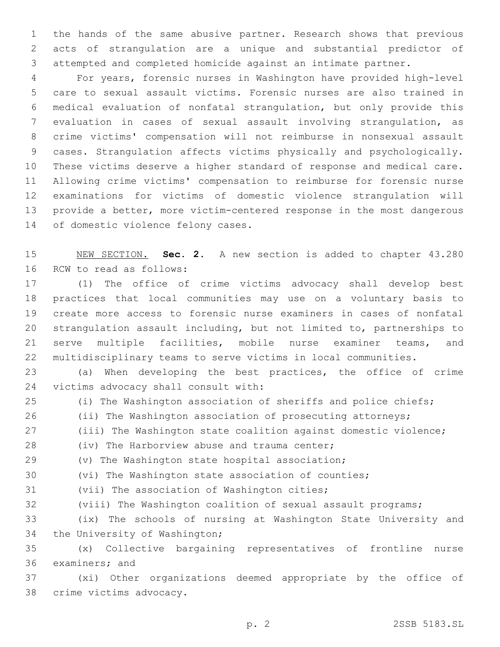the hands of the same abusive partner. Research shows that previous acts of strangulation are a unique and substantial predictor of attempted and completed homicide against an intimate partner.

 For years, forensic nurses in Washington have provided high-level care to sexual assault victims. Forensic nurses are also trained in medical evaluation of nonfatal strangulation, but only provide this evaluation in cases of sexual assault involving strangulation, as crime victims' compensation will not reimburse in nonsexual assault cases. Strangulation affects victims physically and psychologically. These victims deserve a higher standard of response and medical care. Allowing crime victims' compensation to reimburse for forensic nurse examinations for victims of domestic violence strangulation will provide a better, more victim-centered response in the most dangerous 14 of domestic violence felony cases.

 NEW SECTION. **Sec. 2.** A new section is added to chapter 43.280 16 RCW to read as follows:

 (1) The office of crime victims advocacy shall develop best practices that local communities may use on a voluntary basis to create more access to forensic nurse examiners in cases of nonfatal strangulation assault including, but not limited to, partnerships to serve multiple facilities, mobile nurse examiner teams, and multidisciplinary teams to serve victims in local communities.

 (a) When developing the best practices, the office of crime 24 victims advocacy shall consult with:

- (i) The Washington association of sheriffs and police chiefs;
- (ii) The Washington association of prosecuting attorneys;
- (iii) The Washington state coalition against domestic violence;
- 28 (iv) The Harborview abuse and trauma center;
- (v) The Washington state hospital association;
- (vi) The Washington state association of counties;
- 31 (vii) The association of Washington cities;
- (viii) The Washington coalition of sexual assault programs;
- (ix) The schools of nursing at Washington State University and 34 the University of Washington;
- (x) Collective bargaining representatives of frontline nurse 36 examiners; and
- (xi) Other organizations deemed appropriate by the office of 38 crime victims advocacy.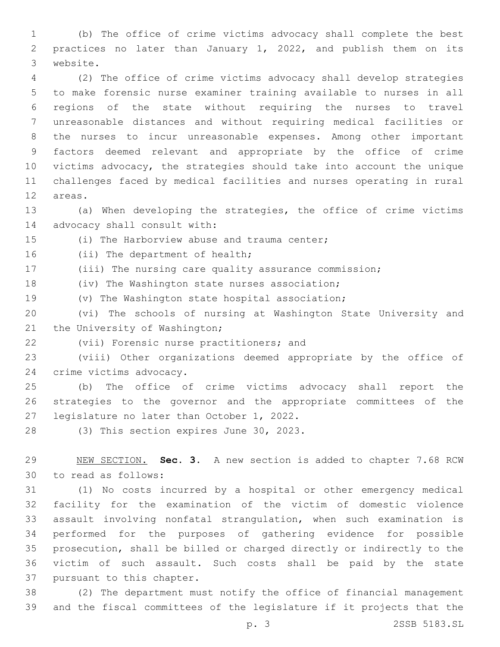(b) The office of crime victims advocacy shall complete the best practices no later than January 1, 2022, and publish them on its 3 website.

 (2) The office of crime victims advocacy shall develop strategies to make forensic nurse examiner training available to nurses in all regions of the state without requiring the nurses to travel unreasonable distances and without requiring medical facilities or the nurses to incur unreasonable expenses. Among other important factors deemed relevant and appropriate by the office of crime victims advocacy, the strategies should take into account the unique challenges faced by medical facilities and nurses operating in rural 12 areas.

 (a) When developing the strategies, the office of crime victims 14 advocacy shall consult with:

15 (i) The Harborview abuse and trauma center;

16 (ii) The department of health;

(iii) The nursing care quality assurance commission;

18 (iv) The Washington state nurses association;

(v) The Washington state hospital association;

 (vi) The schools of nursing at Washington State University and 21 the University of Washington;

22 (vii) Forensic nurse practitioners; and

 (viii) Other organizations deemed appropriate by the office of 24 crime victims advocacy.

 (b) The office of crime victims advocacy shall report the strategies to the governor and the appropriate committees of the 27 legislature no later than October 1, 2022.

28 (3) This section expires June 30, 2023.

 NEW SECTION. **Sec. 3.** A new section is added to chapter 7.68 RCW 30 to read as follows:

 (1) No costs incurred by a hospital or other emergency medical facility for the examination of the victim of domestic violence assault involving nonfatal strangulation, when such examination is performed for the purposes of gathering evidence for possible prosecution, shall be billed or charged directly or indirectly to the victim of such assault. Such costs shall be paid by the state 37 pursuant to this chapter.

 (2) The department must notify the office of financial management and the fiscal committees of the legislature if it projects that the

p. 3 2SSB 5183.SL